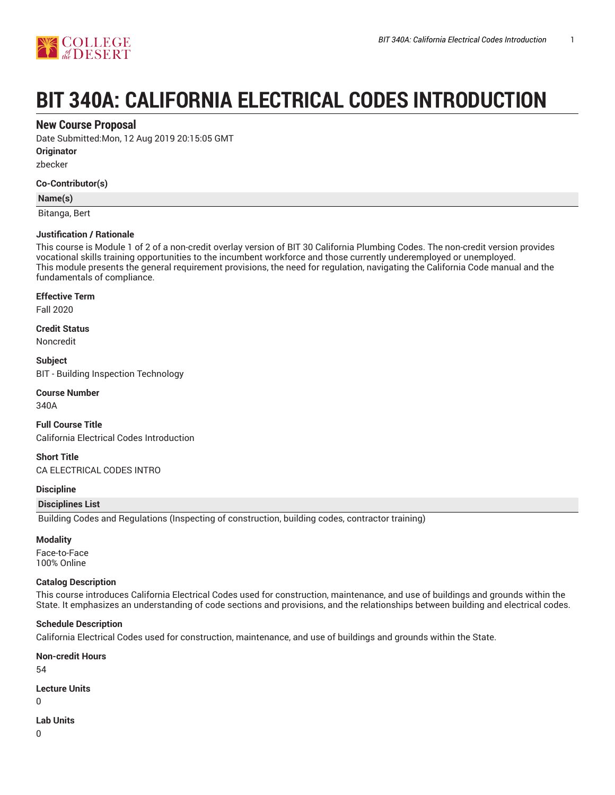

# **BIT 340A: CALIFORNIA ELECTRICAL CODES INTRODUCTION**

## **New Course Proposal**

Date Submitted:Mon, 12 Aug 2019 20:15:05 GMT

**Originator**

zbecker

#### **Co-Contributor(s)**

#### **Name(s)**

Bitanga, Bert

#### **Justification / Rationale**

This course is Module 1 of 2 of a non-credit overlay version of BIT 30 California Plumbing Codes. The non-credit version provides vocational skills training opportunities to the incumbent workforce and those currently underemployed or unemployed. This module presents the general requirement provisions, the need for regulation, navigating the California Code manual and the fundamentals of compliance.

#### **Effective Term**

Fall 2020

**Credit Status** Noncredit

**Subject** BIT - Building Inspection Technology

#### **Course Number**

340A

**Full Course Title** California Electrical Codes Introduction

**Short Title** CA ELECTRICAL CODES INTRO

#### **Discipline**

#### **Disciplines List**

Building Codes and Regulations (Inspecting of construction, building codes, contractor training)

#### **Modality**

Face-to-Face 100% Online

#### **Catalog Description**

This course introduces California Electrical Codes used for construction, maintenance, and use of buildings and grounds within the State. It emphasizes an understanding of code sections and provisions, and the relationships between building and electrical codes.

#### **Schedule Description**

California Electrical Codes used for construction, maintenance, and use of buildings and grounds within the State.

#### **Non-credit Hours**

54

#### **Lecture Units**

 $\Omega$ 

#### **Lab Units**

0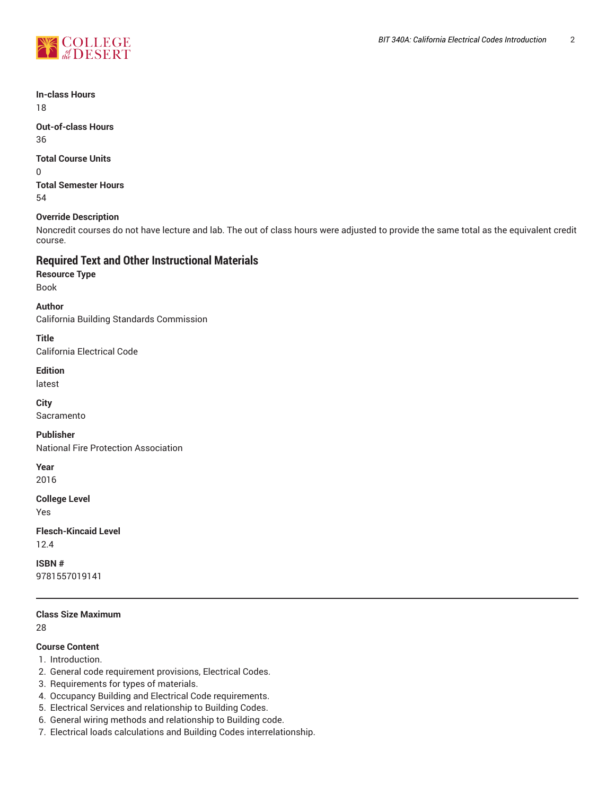

**In-class Hours** 18

**Out-of-class Hours** 36

**Total Course Units**

0 **Total Semester Hours** 54

## **Override Description**

Noncredit courses do not have lecture and lab. The out of class hours were adjusted to provide the same total as the equivalent credit course.

# **Required Text and Other Instructional Materials**

**Resource Type** Book

**Author** California Building Standards Commission

**Title**

California Electrical Code

**Edition**

latest

**City**

Sacramento

**Publisher** National Fire Protection Association

**Year** 2016

**College Level**

Yes

**Flesch-Kincaid Level** 12.4

**ISBN #** 9781557019141

**Class Size Maximum**

28

# **Course Content**

- 1. Introduction.
- 2. General code requirement provisions, Electrical Codes.
- 3. Requirements for types of materials.
- 4. Occupancy Building and Electrical Code requirements.
- 5. Electrical Services and relationship to Building Codes.
- 6. General wiring methods and relationship to Building code.
- 7. Electrical loads calculations and Building Codes interrelationship.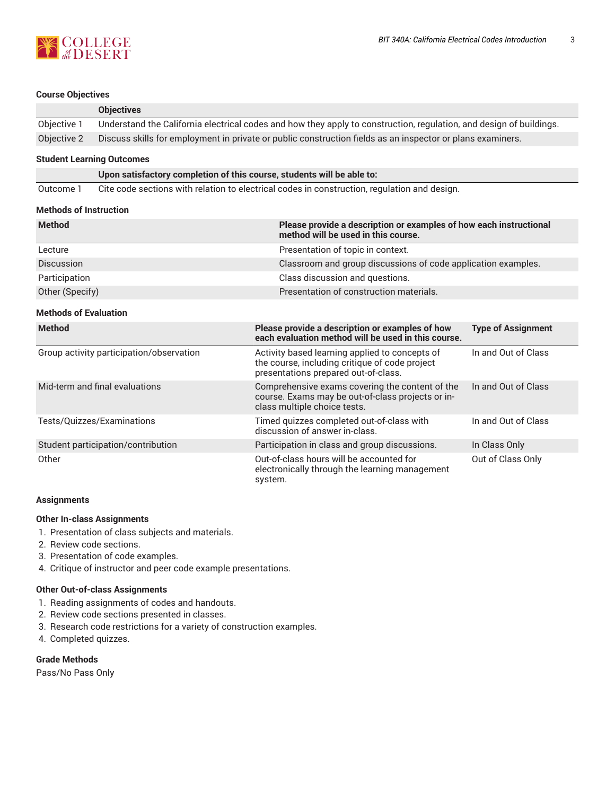

#### **Course Objectives**

|             | <b>Objectives</b>                                                                                                   |
|-------------|---------------------------------------------------------------------------------------------------------------------|
| Objective 1 | Understand the California electrical codes and how they apply to construction, regulation, and design of buildings. |
| Objective 2 | Discuss skills for employment in private or public construction fields as an inspector or plans examiners.          |

#### **Student Learning Outcomes**

**Upon satisfactory completion of this course, students will be able to:**

Outcome 1 Cite code sections with relation to electrical codes in construction, regulation and design.

#### **Methods of Instruction**

| <b>Method</b>     | Please provide a description or examples of how each instructional<br>method will be used in this course. |
|-------------------|-----------------------------------------------------------------------------------------------------------|
| Lecture           | Presentation of topic in context.                                                                         |
| <b>Discussion</b> | Classroom and group discussions of code application examples.                                             |
| Participation     | Class discussion and questions.                                                                           |
| Other (Specify)   | Presentation of construction materials.                                                                   |

#### **Methods of Evaluation**

| <b>Method</b>                            | Please provide a description or examples of how<br>each evaluation method will be used in this course.                                   | <b>Type of Assignment</b> |
|------------------------------------------|------------------------------------------------------------------------------------------------------------------------------------------|---------------------------|
| Group activity participation/observation | Activity based learning applied to concepts of<br>the course, including critique of code project<br>presentations prepared out-of-class. | In and Out of Class       |
| Mid-term and final evaluations           | Comprehensive exams covering the content of the<br>course. Exams may be out-of-class projects or in-<br>class multiple choice tests.     | In and Out of Class       |
| Tests/Quizzes/Examinations               | Timed quizzes completed out-of-class with<br>discussion of answer in-class.                                                              | In and Out of Class       |
| Student participation/contribution       | Participation in class and group discussions.                                                                                            | In Class Only             |
| Other                                    | Out-of-class hours will be accounted for<br>electronically through the learning management<br>system.                                    | Out of Class Only         |

#### **Assignments**

#### **Other In-class Assignments**

- 1. Presentation of class subjects and materials.
- 2. Review code sections.
- 3. Presentation of code examples.
- 4. Critique of instructor and peer code example presentations.

#### **Other Out-of-class Assignments**

- 1. Reading assignments of codes and handouts.
- 2. Review code sections presented in classes.
- 3. Research code restrictions for a variety of construction examples.
- 4. Completed quizzes.

#### **Grade Methods**

Pass/No Pass Only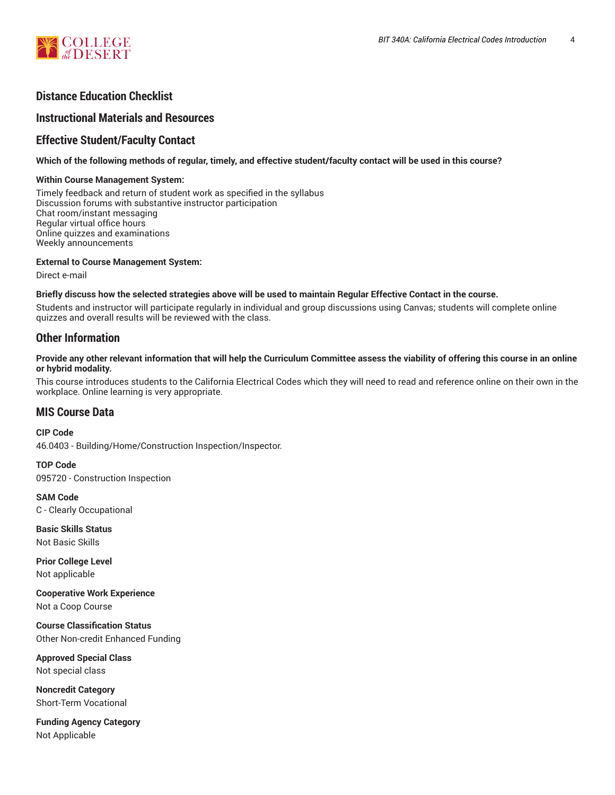

# **Distance Education Checklist**

# **Instructional Materials and Resources**

# **Effective Student/Faculty Contact**

#### Which of the following methods of regular, timely, and effective student/faculty contact will be used in this course?

#### **Within Course Management System:**

Timely feedback and return of student work as specified in the syllabus Discussion forums with substantive instructor participation Chat room/instant messaging Regular virtual office hours Online quizzes and examinations Weekly announcements

#### **External to Course Management System:**

Direct e-mail

#### Briefly discuss how the selected strategies above will be used to maintain Regular Effective Contact in the course.

Students and instructor will participate regularly in individual and group discussions using Canvas; students will complete online quizzes and overall results will be reviewed with the class.

# **Other Information**

#### Provide any other relevant information that will help the Curriculum Committee assess the viability of offering this course in an online **or hybrid modality.**

This course introduces students to the California Electrical Codes which they will need to read and reference online on their own in the workplace. Online learning is very appropriate.

## **MIS Course Data**

**CIP Code** 46.0403 - Building/Home/Construction Inspection/Inspector.

**TOP Code** 095720 - Construction Inspection

**SAM Code** C - Clearly Occupational

**Basic Skills Status** Not Basic Skills

**Prior College Level** Not applicable

**Cooperative Work Experience** Not a Coop Course

**Course Classification Status** Other Non-credit Enhanced Funding

**Approved Special Class** Not special class

**Noncredit Category** Short-Term Vocational

**Funding Agency Category** Not Applicable